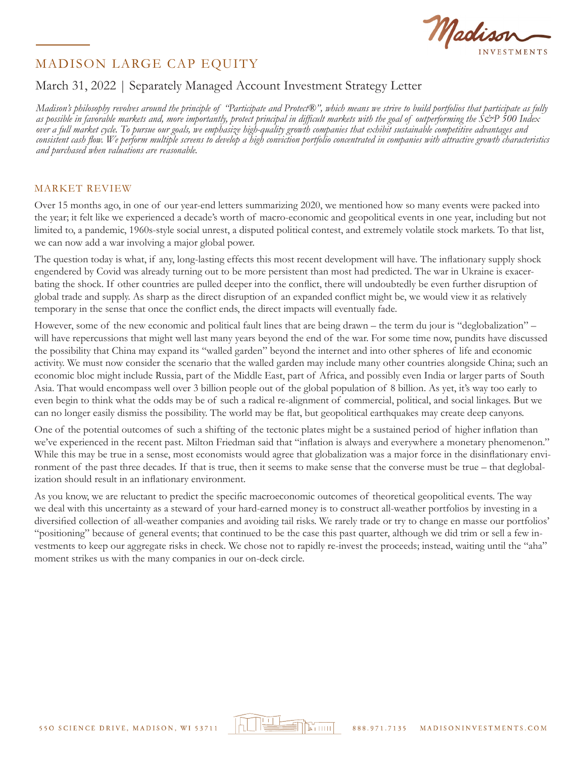

## March 31, 2022 | Separately Managed Account Investment Strategy Letter

*Madison's philosophy revolves around the principle of "Participate and Protect®", which means we strive to build portfolios that participate as fully as possible in favorable markets and, more importantly, protect principal in difficult markets with the goal of outperforming the S&P 500 Index over a full market cycle. To pursue our goals, we emphasize high-quality growth companies that exhibit sustainable competitive advantages and consistent cash flow. We perform multiple screens to develop a high conviction portfolio concentrated in companies with attractive growth characteristics and purchased when valuations are reasonable.*

#### MARKET REVIEW

Over 15 months ago, in one of our year-end letters summarizing 2020, we mentioned how so many events were packed into the year; it felt like we experienced a decade's worth of macro-economic and geopolitical events in one year, including but not limited to, a pandemic, 1960s-style social unrest, a disputed political contest, and extremely volatile stock markets. To that list, we can now add a war involving a major global power.

The question today is what, if any, long-lasting effects this most recent development will have. The inflationary supply shock engendered by Covid was already turning out to be more persistent than most had predicted. The war in Ukraine is exacerbating the shock. If other countries are pulled deeper into the conflict, there will undoubtedly be even further disruption of global trade and supply. As sharp as the direct disruption of an expanded conflict might be, we would view it as relatively temporary in the sense that once the conflict ends, the direct impacts will eventually fade.

However, some of the new economic and political fault lines that are being drawn – the term du jour is "deglobalization" – will have repercussions that might well last many years beyond the end of the war. For some time now, pundits have discussed the possibility that China may expand its "walled garden" beyond the internet and into other spheres of life and economic activity. We must now consider the scenario that the walled garden may include many other countries alongside China; such an economic bloc might include Russia, part of the Middle East, part of Africa, and possibly even India or larger parts of South Asia. That would encompass well over 3 billion people out of the global population of 8 billion. As yet, it's way too early to even begin to think what the odds may be of such a radical re-alignment of commercial, political, and social linkages. But we can no longer easily dismiss the possibility. The world may be flat, but geopolitical earthquakes may create deep canyons.

One of the potential outcomes of such a shifting of the tectonic plates might be a sustained period of higher inflation than we've experienced in the recent past. Milton Friedman said that "inflation is always and everywhere a monetary phenomenon." While this may be true in a sense, most economists would agree that globalization was a major force in the disinflationary environment of the past three decades. If that is true, then it seems to make sense that the converse must be true – that deglobalization should result in an inflationary environment.

As you know, we are reluctant to predict the specific macroeconomic outcomes of theoretical geopolitical events. The way we deal with this uncertainty as a steward of your hard-earned money is to construct all-weather portfolios by investing in a diversified collection of all-weather companies and avoiding tail risks. We rarely trade or try to change en masse our portfolios' "positioning" because of general events; that continued to be the case this past quarter, although we did trim or sell a few investments to keep our aggregate risks in check. We chose not to rapidly re-invest the proceeds; instead, waiting until the "aha" moment strikes us with the many companies in our on-deck circle.

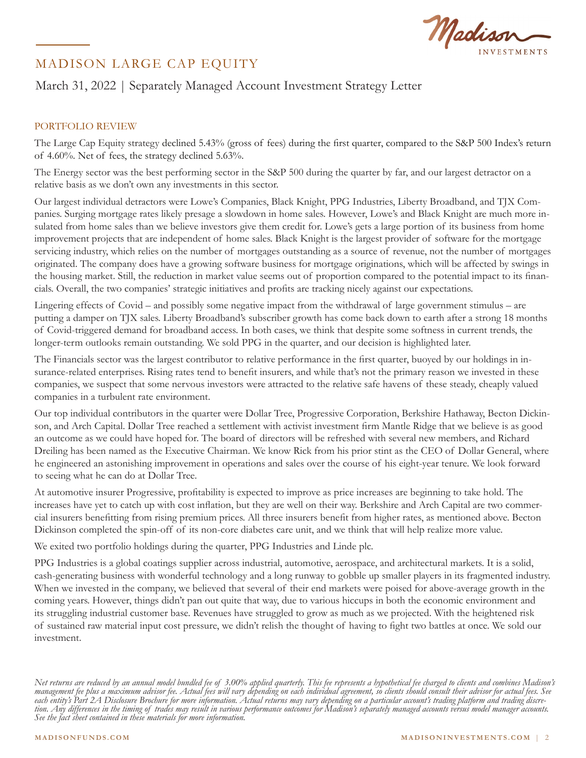

## March 31, 2022 | Separately Managed Account Investment Strategy Letter

## PORTFOLIO REVIEW

The Large Cap Equity strategy declined 5.43% (gross of fees) during the first quarter, compared to the S&P 500 Index's return of 4.60%. Net of fees, the strategy declined 5.63%.

The Energy sector was the best performing sector in the S&P 500 during the quarter by far, and our largest detractor on a relative basis as we don't own any investments in this sector.

Our largest individual detractors were Lowe's Companies, Black Knight, PPG Industries, Liberty Broadband, and TJX Companies. Surging mortgage rates likely presage a slowdown in home sales. However, Lowe's and Black Knight are much more insulated from home sales than we believe investors give them credit for. Lowe's gets a large portion of its business from home improvement projects that are independent of home sales. Black Knight is the largest provider of software for the mortgage servicing industry, which relies on the number of mortgages outstanding as a source of revenue, not the number of mortgages originated. The company does have a growing software business for mortgage originations, which will be affected by swings in the housing market. Still, the reduction in market value seems out of proportion compared to the potential impact to its financials. Overall, the two companies' strategic initiatives and profits are tracking nicely against our expectations.

Lingering effects of Covid – and possibly some negative impact from the withdrawal of large government stimulus – are putting a damper on TJX sales. Liberty Broadband's subscriber growth has come back down to earth after a strong 18 months of Covid-triggered demand for broadband access. In both cases, we think that despite some softness in current trends, the longer-term outlooks remain outstanding. We sold PPG in the quarter, and our decision is highlighted later.

The Financials sector was the largest contributor to relative performance in the first quarter, buoyed by our holdings in insurance-related enterprises. Rising rates tend to benefit insurers, and while that's not the primary reason we invested in these companies, we suspect that some nervous investors were attracted to the relative safe havens of these steady, cheaply valued companies in a turbulent rate environment.

Our top individual contributors in the quarter were Dollar Tree, Progressive Corporation, Berkshire Hathaway, Becton Dickinson, and Arch Capital. Dollar Tree reached a settlement with activist investment firm Mantle Ridge that we believe is as good an outcome as we could have hoped for. The board of directors will be refreshed with several new members, and Richard Dreiling has been named as the Executive Chairman. We know Rick from his prior stint as the CEO of Dollar General, where he engineered an astonishing improvement in operations and sales over the course of his eight-year tenure. We look forward to seeing what he can do at Dollar Tree.

At automotive insurer Progressive, profitability is expected to improve as price increases are beginning to take hold. The increases have yet to catch up with cost inflation, but they are well on their way. Berkshire and Arch Capital are two commercial insurers benefitting from rising premium prices. All three insurers benefit from higher rates, as mentioned above. Becton Dickinson completed the spin-off of its non-core diabetes care unit, and we think that will help realize more value.

We exited two portfolio holdings during the quarter, PPG Industries and Linde plc.

PPG Industries is a global coatings supplier across industrial, automotive, aerospace, and architectural markets. It is a solid, cash-generating business with wonderful technology and a long runway to gobble up smaller players in its fragmented industry. When we invested in the company, we believed that several of their end markets were poised for above-average growth in the coming years. However, things didn't pan out quite that way, due to various hiccups in both the economic environment and its struggling industrial customer base. Revenues have struggled to grow as much as we projected. With the heightened risk of sustained raw material input cost pressure, we didn't relish the thought of having to fight two battles at once. We sold our investment.

*Net returns are reduced by an annual model bundled fee of 3.00% applied quarterly. This fee represents a hypothetical fee charged to clients and combines Madison's management fee plus a maximum advisor fee. Actual fees will vary depending on each individual agreement, so clients should consult their advisor for actual fees. See*  each entity's Part 2A Disclosure Brochure for more information. Actual returns may vary depending on a particular account's trading platform and trading discre-<br>tion. Any differences in the timing of trades may result in v *See the fact sheet contained in these materials for more information.*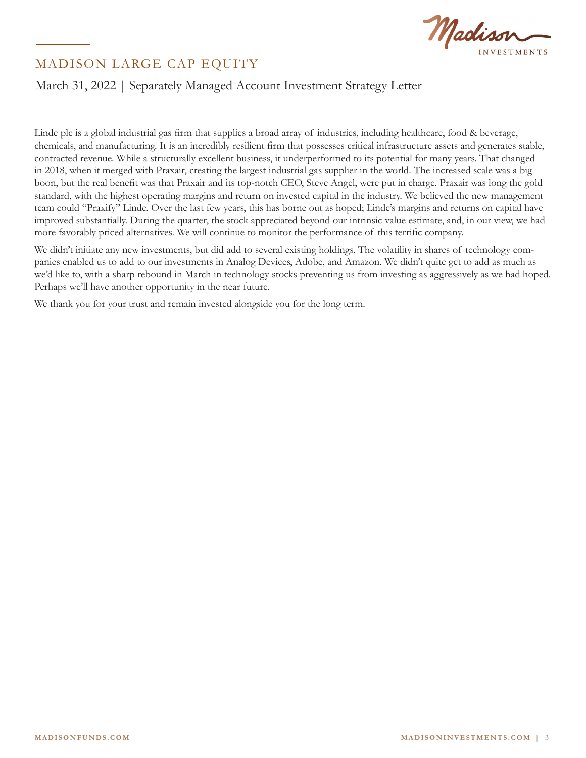

## March 31, 2022 | Separately Managed Account Investment Strategy Letter

Linde plc is a global industrial gas firm that supplies a broad array of industries, including healthcare, food & beverage, chemicals, and manufacturing. It is an incredibly resilient firm that possesses critical infrastructure assets and generates stable, contracted revenue. While a structurally excellent business, it underperformed to its potential for many years. That changed in 2018, when it merged with Praxair, creating the largest industrial gas supplier in the world. The increased scale was a big boon, but the real benefit was that Praxair and its top-notch CEO, Steve Angel, were put in charge. Praxair was long the gold standard, with the highest operating margins and return on invested capital in the industry. We believed the new management team could "Praxify" Linde. Over the last few years, this has borne out as hoped; Linde's margins and returns on capital have improved substantially. During the quarter, the stock appreciated beyond our intrinsic value estimate, and, in our view, we had more favorably priced alternatives. We will continue to monitor the performance of this terrific company.

We didn't initiate any new investments, but did add to several existing holdings. The volatility in shares of technology companies enabled us to add to our investments in Analog Devices, Adobe, and Amazon. We didn't quite get to add as much as we'd like to, with a sharp rebound in March in technology stocks preventing us from investing as aggressively as we had hoped. Perhaps we'll have another opportunity in the near future.

We thank you for your trust and remain invested alongside you for the long term.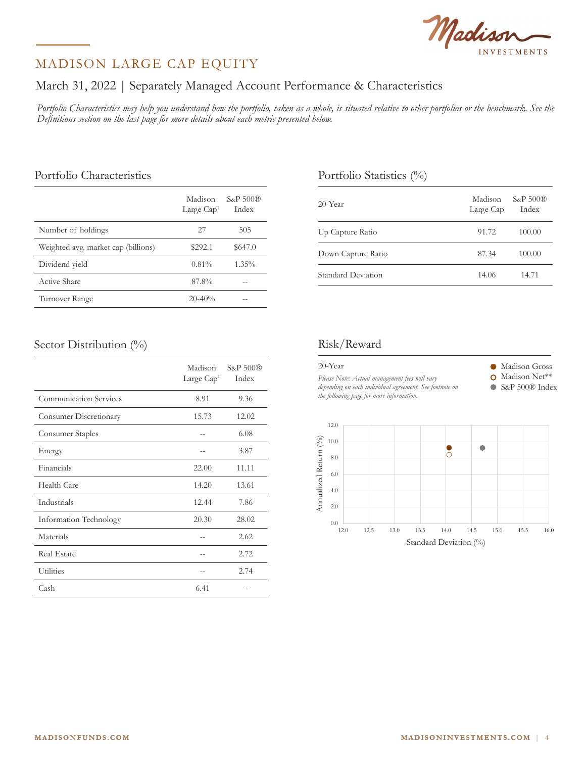# Madison

## MADISON LARGE CAP EQUITY

## March 31, 2022 | Separately Managed Account Performance & Characteristics

*Portfolio Characteristics may help you understand how the portfolio, taken as a whole, is situated relative to other portfolios or the benchmark. See the Definitions section on the last page for more details about each metric presented below.*

## Portfolio Characteristics

|                                     | Madison<br>Large $Cap1$ | $S_{\&}P 500$ <sup>®</sup><br>Index |
|-------------------------------------|-------------------------|-------------------------------------|
| Number of holdings                  | 27                      | 505                                 |
| Weighted avg. market cap (billions) | \$292.1                 | \$647.0                             |
| Dividend yield                      | 0.81%                   | $1.35\%$                            |
| Active Share                        | 87.8%                   |                                     |
| Turnover Range                      | $20 - 40\%$             |                                     |

## Portfolio Statistics (%)

| 20-Year            | Madison<br>Large Cap | S&P 500®<br>Index |
|--------------------|----------------------|-------------------|
| Up Capture Ratio   | 91.72                | 100.00            |
| Down Capture Ratio | 87.34                | 100.00            |
| Standard Deviation | 14.06                | 14.71             |

### Sector Distribution (%)

|                               | Madison<br>Large Cap <sup>1</sup> | $S\&P500\circledR$<br>Index |
|-------------------------------|-----------------------------------|-----------------------------|
| <b>Communication Services</b> | 8.91                              | 9.36                        |
| Consumer Discretionary        | 15.73                             | 12.02                       |
| Consumer Staples              |                                   | 6.08                        |
| Energy                        |                                   | 3.87                        |
| Financials                    | 22.00                             | 11.11                       |
| Health Care                   | 14.20                             | 13.61                       |
| Industrials                   | 12.44                             | 7.86                        |
| Information Technology        | 20.30                             | 28.02                       |
| Materials                     |                                   | 2.62                        |
| <b>Real Estate</b>            | $-$                               | 2.72                        |
| <b>Utilities</b>              |                                   | 2.74                        |
| Cash                          | 6.41                              |                             |

## Risk/Reward

| 20-Year                                                                                             | Madison Gross  |
|-----------------------------------------------------------------------------------------------------|----------------|
| Please Note: Actual management fees will vary                                                       | Madison Net**  |
| depending on each individual agreement. See footnote on<br>the following page for more information. | S&P 500® Index |
|                                                                                                     |                |

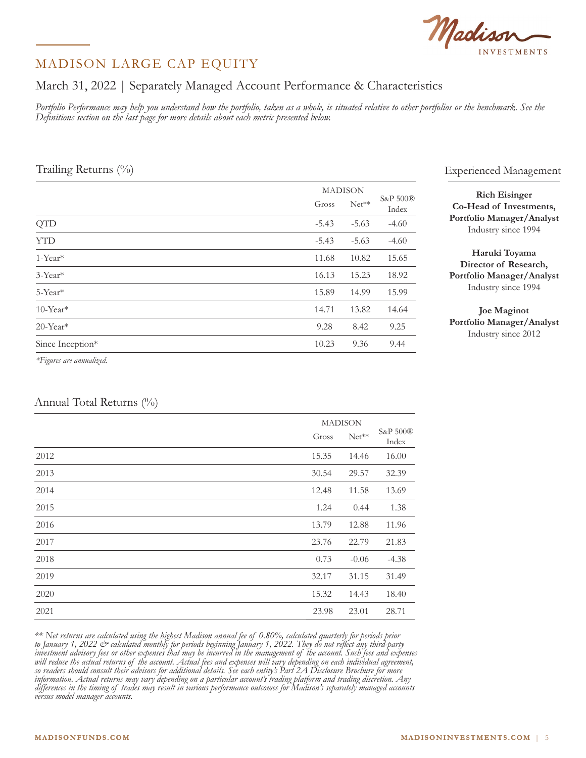Madison

## March 31, 2022 | Separately Managed Account Performance & Characteristics

*Portfolio Performance may help you understand how the portfolio, taken as a whole, is situated relative to other portfolios or the benchmark. See the Definitions section on the last page for more details about each metric presented below.*

### Trailing Returns (%)

|                         |         | <b>MADISON</b> |                   |  |
|-------------------------|---------|----------------|-------------------|--|
|                         | Gross   | $Net**$        | S&P 500®<br>Index |  |
| <b>QTD</b>              | $-5.43$ | $-5.63$        | $-4.60$           |  |
| <b>YTD</b>              | $-5.43$ | $-5.63$        | $-4.60$           |  |
| 1-Year*                 | 11.68   | 10.82          | 15.65             |  |
| $3$ -Year <sup>*</sup>  | 16.13   | 15.23          | 18.92             |  |
| 5-Year*                 | 15.89   | 14.99          | 15.99             |  |
| $10$ -Year <sup>*</sup> | 14.71   | 13.82          | 14.64             |  |
| 20-Year*                | 9.28    | 8.42           | 9.25              |  |
| Since Inception*        | 10.23   | 9.36           | 9.44              |  |
|                         |         |                |                   |  |

#### Experienced Management

**Rich Eisinger Co-Head of Investments, Portfolio Manager/Analyst** Industry since 1994

**Haruki Toyama Director of Research, Portfolio Manager/Analyst** Industry since 1994

**Joe Maginot Portfolio Manager/Analyst** Industry since 2012

*\*Figures are annualized.*

### Annual Total Returns (%)

|      |       | <b>MADISON</b> |                   |  |
|------|-------|----------------|-------------------|--|
|      | Gross | $Net**$        | S&P 500®<br>Index |  |
| 2012 | 15.35 | 14.46          | 16.00             |  |
| 2013 | 30.54 | 29.57          | 32.39             |  |
| 2014 | 12.48 | 11.58          | 13.69             |  |
| 2015 | 1.24  | 0.44           | 1.38              |  |
| 2016 | 13.79 | 12.88          | 11.96             |  |
| 2017 | 23.76 | 22.79          | 21.83             |  |
| 2018 | 0.73  | $-0.06$        | $-4.38$           |  |
| 2019 | 32.17 | 31.15          | 31.49             |  |
| 2020 | 15.32 | 14.43          | 18.40             |  |
| 2021 | 23.98 | 23.01          | 28.71             |  |

*\*\* Net returns are calculated using the highest Madison annual fee of 0.80%, calculated quarterly for periods prior to January 1, 2022 & calculated monthly for periods beginning January 1, 2022. They do not reflect any third-party investment advisory fees or other expenses that may be incurred in the management of the account. Such fees and expenses will reduce the actual returns of the account. Actual fees and expenses will vary depending on each individual agreement, so readers should consult their advisors for additional details. See each entity's Part 2A Disclosure Brochure for more information. Actual returns may vary depending on a particular account's trading platform and trading discretion. Any differences in the timing of trades may result in various performance outcomes for Madison's separately managed accounts versus model manager accounts.*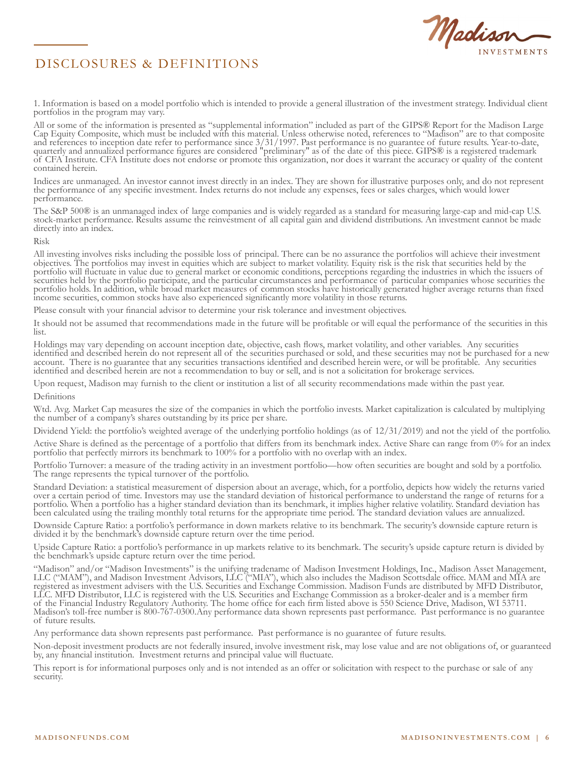



1. Information is based on a model portfolio which is intended to provide a general illustration of the investment strategy. Individual client portfolios in the program may vary.

All or some of the information is presented as "supplemental information" included as part of the GIPS® Report for the Madison Large Cap Equity Composite, which must be included with this material. Unless otherwise noted, references to "Madison" are to that composite and references to inception date refer to performance since 3/31/1997. Past performance is no guarantee of future results. Year-to-date, quarterly and annualized performance figures are considered "preliminary" as of the date of this piece. GIPS® is a registered trademark of CFA Institute. CFA Institute does not endorse or promote this organization, nor does it warrant the accuracy or quality of the content contained herein.

Indices are unmanaged. An investor cannot invest directly in an index. They are shown for illustrative purposes only, and do not represent the performance of any specific investment. Index returns do not include any expenses, fees or sales charges, which would lower performance.

The S&P 500® is an unmanaged index of large companies and is widely regarded as a standard for measuring large-cap and mid-cap U.S. stock-market performance. Results assume the reinvestment of all capital gain and dividend distributions. An investment cannot be made directly into an index.

Risk

All investing involves risks including the possible loss of principal. There can be no assurance the portfolios will achieve their investment objectives. The portfolios may invest in equities which are subject to market volatility. Equity risk is the risk that securities held by the portfolio will fluctuate in value due to general market or economic conditions, perceptions regarding the industries in which the issuers of securities held by the portfolio participate, and the particular circumstances and performance of particular companies whose securities the portfolio holds. In addition, while broad market measures of common stocks have historically generated higher average returns than fixed income securities, common stocks have also experienced significantly more volatility in those returns.

Please consult with your financial advisor to determine your risk tolerance and investment objectives.

It should not be assumed that recommendations made in the future will be profitable or will equal the performance of the securities in this list.

Holdings may vary depending on account inception date, objective, cash flows, market volatility, and other variables. Any securities identified and described herein do not represent all of the securities purchased or sold, and these securities may not be purchased for a new account. There is no guarantee that any securities transactions identified and described herein were, or will be profitable. Any securities identified and described herein are not a recommendation to buy or sell, and is not a solicitation for brokerage services.

Upon request, Madison may furnish to the client or institution a list of all security recommendations made within the past year.

Definitions

Wtd. Avg. Market Cap measures the size of the companies in which the portfolio invests. Market capitalization is calculated by multiplying the number of a company's shares outstanding by its price per share.

Dividend Yield: the portfolio's weighted average of the underlying portfolio holdings (as of 12/31/2019) and not the yield of the portfolio.

Active Share is defined as the percentage of a portfolio that differs from its benchmark index. Active Share can range from 0% for an index portfolio that perfectly mirrors its benchmark to 100% for a portfolio with no overlap with an index.

Portfolio Turnover: a measure of the trading activity in an investment portfolio—how often securities are bought and sold by a portfolio. The range represents the typical turnover of the portfolio.

Standard Deviation: a statistical measurement of dispersion about an average, which, for a portfolio, depicts how widely the returns varied over a certain period of time. Investors may use the standard deviation of historical performance to understand the range of returns for a portfolio. When a portfolio has a higher standard deviation than its benchmark, it implies higher relative volatility. Standard deviation has been calculated using the trailing monthly total returns for the appropriate time period. The standard deviation values are annualized.

Downside Capture Ratio: a portfolio's performance in down markets relative to its benchmark. The security's downside capture return is divided it by the benchmark's downside capture return over the time period.

Upside Capture Ratio: a portfolio's performance in up markets relative to its benchmark. The security's upside capture return is divided by the benchmark's upside capture return over the time period.

"Madison" and/or "Madison Investments" is the unifying tradename of Madison Investment Holdings, Inc., Madison Asset Management, LLC ("MAM"), and Madison Investment Advisors, LLC ("MIA"), which also includes the Madison Scottsdale office. MAM and MIA are registered as investment advisers with the U.S. Securities and Exchange Commission. Madison Funds are distributed by MFD Distributor, LLC. MFD Distributor, LLC is registered with the U.S. Securities and Exchange Commission as a broker-dealer and is a member firm of the Financial Industry Regulatory Authority. The home office for each firm listed above is 550 Science Drive, Madison, WI 53711. Madison's toll-free number is 800-767-0300.Any performance data shown represents past performance. Past performance is no guarantee of future results.

Any performance data shown represents past performance. Past performance is no guarantee of future results.

Non-deposit investment products are not federally insured, involve investment risk, may lose value and are not obligations of, or guaranteed by, any financial institution. Investment returns and principal value will fluctuate.

This report is for informational purposes only and is not intended as an offer or solicitation with respect to the purchase or sale of any security.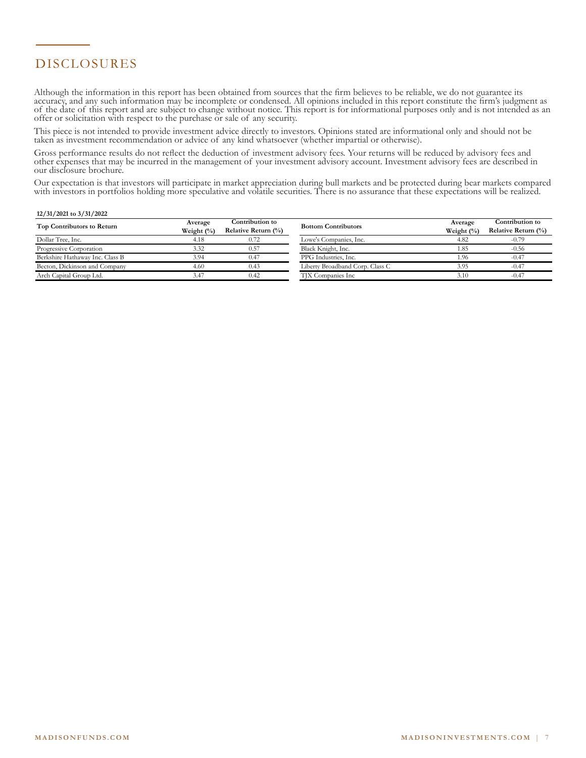# DISCLOSURES

Although the information in this report has been obtained from sources that the firm believes to be reliable, we do not guarantee its accuracy, and any such information may be incomplete or condensed. All opinions included in this report constitute the firm's judgment as of the date of this report and are subject to change without notice. This report is for informational purposes only and is not intended as an offer or solicitation with respect to the purchase or sale of any security.

This piece is not intended to provide investment advice directly to investors. Opinions stated are informational only and should not be taken as investment recommendation or advice of any kind whatsoever (whether impartial or otherwise).

Gross performance results do not reflect the deduction of investment advisory fees. Your returns will be reduced by advisory fees and other expenses that may be incurred in the management of your investment advisory account. Investment advisory fees are described in our disclosure brochure.

Our expectation is that investors will participate in market appreciation during bull markets and be protected during bear markets compared with investors in portfolios holding more speculative and volatile securities. There is no assurance that these expectations will be realized.

#### **12/31/2021 to 3/31/2022**

| Top Contributors to Return      | Average       | Contribution to        | <b>Bottom Contributors</b>      | Average       | Contribution to        |
|---------------------------------|---------------|------------------------|---------------------------------|---------------|------------------------|
|                                 | Weight $(\%)$ | Relative Return $(\%)$ |                                 | Weight $(\%)$ | Relative Return $(\%)$ |
| Dollar Tree, Inc.               | 4.18          | 0.72                   | Lowe's Companies, Inc.          | 4.82          | $-0.79$                |
| Progressive Corporation         | 3.32          | 0.57                   | Black Knight, Inc.              | 1.85          | $-0.56$                |
| Berkshire Hathaway Inc. Class B | 3.94          | 0.47                   | PPG Industries, Inc.            | 1.96          | $-0.47$                |
| Becton, Dickinson and Company   | 4.60          | 0.43                   | Liberty Broadband Corp. Class C | 3.95          | $-0.47$                |
| Arch Capital Group Ltd.         | 3.47          | 0.42                   | TJX Companies Inc               | 3.10          | $-0.47$                |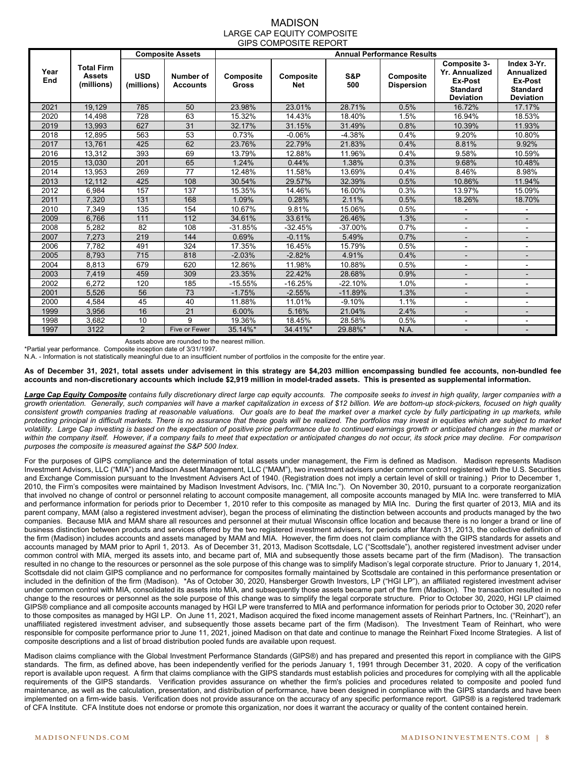#### MADISON LARGE CAP EQUITY COMPOSITE GIPS COMPOSITE REPORT

|             |                                                  |                          | <b>Composite Assets</b>             | <b>Annual Performance Results</b> |                         |            |                                |                                                                                         |                                                                                    |
|-------------|--------------------------------------------------|--------------------------|-------------------------------------|-----------------------------------|-------------------------|------------|--------------------------------|-----------------------------------------------------------------------------------------|------------------------------------------------------------------------------------|
| Year<br>End | <b>Total Firm</b><br><b>Assets</b><br>(millions) | <b>USD</b><br>(millions) | <b>Number of</b><br><b>Accounts</b> | Composite<br><b>Gross</b>         | Composite<br><b>Net</b> | S&P<br>500 | Composite<br><b>Dispersion</b> | Composite 3-<br><b>Yr. Annualized</b><br>Ex-Post<br><b>Standard</b><br><b>Deviation</b> | Index 3-Yr.<br><b>Annualized</b><br>Ex-Post<br><b>Standard</b><br><b>Deviation</b> |
| 2021        | 19.129                                           | 785                      | 50                                  | 23.98%                            | 23.01%                  | 28.71%     | 0.5%                           | 16.72%                                                                                  | 17.17%                                                                             |
| 2020        | 14,498                                           | 728                      | 63                                  | 15.32%                            | 14.43%                  | 18.40%     | 1.5%                           | 16.94%                                                                                  | 18.53%                                                                             |
| 2019        | 13.993                                           | 627                      | 31                                  | 32.17%                            | 31.15%                  | 31.49%     | 0.8%                           | 10.39%                                                                                  | 11.93%                                                                             |
| 2018        | 12,895                                           | 563                      | 53                                  | 0.73%                             | $-0.06%$                | $-4.38%$   | 0.4%                           | 9.20%                                                                                   | 10.80%                                                                             |
| 2017        | 13.761                                           | 425                      | 62                                  | 23.76%                            | 22.79%                  | 21.83%     | 0.4%                           | 8.81%                                                                                   | 9.92%                                                                              |
| 2016        | 13.312                                           | 393                      | 69                                  | 13.79%                            | 12.88%                  | 11.96%     | 0.4%                           | 9.58%                                                                                   | 10.59%                                                                             |
| 2015        | 13,030                                           | 201                      | 65                                  | 1.24%                             | 0.44%                   | 1.38%      | 0.3%                           | 9.68%                                                                                   | 10.48%                                                                             |
| 2014        | 13,953                                           | 269                      | 77                                  | 12.48%                            | 11.58%                  | 13.69%     | 0.4%                           | 8.46%                                                                                   | 8.98%                                                                              |
| 2013        | 12.112                                           | 425                      | 108                                 | 30.54%                            | 29.57%                  | 32.39%     | 0.5%                           | 10.86%                                                                                  | 11.94%                                                                             |
| 2012        | 6,984                                            | 157                      | 137                                 | 15.35%                            | 14.46%                  | 16.00%     | 0.3%                           | 13.97%                                                                                  | 15.09%                                                                             |
| 2011        | 7.320                                            | 131                      | 168                                 | 1.09%                             | 0.28%                   | 2.11%      | 0.5%                           | 18.26%                                                                                  | 18.70%                                                                             |
| 2010        | 7,349                                            | 135                      | 154                                 | 10.67%                            | 9.81%                   | 15.06%     | 0.5%                           |                                                                                         | -                                                                                  |
| 2009        | 6.766                                            | 111                      | 112                                 | 34.61%                            | 33.61%                  | 26.46%     | 1.3%                           |                                                                                         |                                                                                    |
| 2008        | 5.282                                            | 82                       | 108                                 | $-31.85%$                         | $-32.45%$               | $-37.00%$  | 0.7%                           |                                                                                         | ۰                                                                                  |
| 2007        | 7,273                                            | 219                      | 144                                 | 0.69%                             | $-0.11%$                | 5.49%      | 0.7%                           | $\overline{\phantom{0}}$                                                                | $\overline{\phantom{a}}$                                                           |
| 2006        | 7.782                                            | 491                      | 324                                 | 17.35%                            | 16.45%                  | 15.79%     | 0.5%                           |                                                                                         | $\overline{\phantom{a}}$                                                           |
| 2005        | 8,793                                            | 715                      | 818                                 | $-2.03%$                          | $-2.82%$                | 4.91%      | 0.4%                           |                                                                                         | $\qquad \qquad \blacksquare$                                                       |
| 2004        | 8,813                                            | 679                      | 620                                 | 12.86%                            | 11.98%                  | 10.88%     | 0.5%                           |                                                                                         | $\overline{\phantom{a}}$                                                           |
| 2003        | 7,419                                            | 459                      | 309                                 | 23.35%                            | 22.42%                  | 28.68%     | 0.9%                           |                                                                                         | $\overline{\phantom{0}}$                                                           |
| 2002        | 6.272                                            | 120                      | 185                                 | $-15.55%$                         | $-16.25%$               | $-22.10%$  | 1.0%                           | ۰                                                                                       | ۰                                                                                  |
| 2001        | 5,526                                            | 56                       | 73                                  | $-1.75%$                          | $-2.55%$                | $-11.89%$  | 1.3%                           |                                                                                         | $\overline{\phantom{0}}$                                                           |
| 2000        | 4.584                                            | 45                       | 40                                  | 11.88%                            | 11.01%                  | $-9.10%$   | 1.1%                           |                                                                                         | $\overline{\phantom{a}}$                                                           |
| 1999        | 3,956                                            | 16                       | 21                                  | 6.00%                             | 5.16%                   | 21.04%     | 2.4%                           |                                                                                         | $\overline{\phantom{0}}$                                                           |
| 1998        | 3,682                                            | 10                       | 9                                   | 19.36%                            | 18.45%                  | 28.58%     | 0.5%                           |                                                                                         | ٠                                                                                  |
| 1997        | 3122                                             | $\overline{2}$           | Five or Fewer                       | 35.14%*                           | 34.41%*                 | 29.88%*    | N.A.                           |                                                                                         | $\overline{\phantom{a}}$                                                           |

Assets above are rounded to the nearest million.

\*Partial year performance. Composite inception date of 3/31/1997.

N.A. - Information is not statistically meaningful due to an insufficient number of portfolios in the composite for the entire year.

**As of December 31, 2021, total assets under advisement in this strategy are \$4,203 million encompassing bundled fee accounts, non-bundled fee accounts and non-discretionary accounts which include \$2,919 million in model-traded assets. This is presented as supplemental information.** 

*Large Cap Equity Composite contains fully discretionary direct large cap equity accounts. The composite seeks to invest in high quality, larger companies with a growth orientation. Generally, such companies will have a market capitalization in excess of \$12 billion. We are bottom-up stock-pickers, focused on high quality*  consistent growth companies trading at reasonable valuations. Our goals are to beat the market over a market cycle by fully participating in up markets, while *protecting principal in difficult markets. There is no assurance that these goals will be realized. The portfolios may invest in equities which are subject to market volatility. Large Cap investing is based on the expectation of positive price performance due to continued earnings growth or anticipated changes in the market or*  within the company itself. However, if a company fails to meet that expectation or anticipated changes do not occur, its stock price may decline. For comparison *purposes the composite is measured against the S&P 500 Index.* 

For the purposes of GIPS compliance and the determination of total assets under management, the Firm is defined as Madison. Madison represents Madison Investment Advisors, LLC ("MIA") and Madison Asset Management, LLC ("MAM"), two investment advisers under common control registered with the U.S. Securities and Exchange Commission pursuant to the Investment Advisers Act of 1940. (Registration does not imply a certain level of skill or training.) Prior to December 1, 2010, the Firm's composites were maintained by Madison Investment Advisors, Inc. ("MIA Inc."). On November 30, 2010, pursuant to a corporate reorganization that involved no change of control or personnel relating to account composite management, all composite accounts managed by MIA Inc. were transferred to MIA and performance information for periods prior to December 1, 2010 refer to this composite as managed by MIA Inc. During the first quarter of 2013, MIA and its parent company, MAM (also a registered investment adviser), began the process of eliminating the distinction between accounts and products managed by the two companies. Because MIA and MAM share all resources and personnel at their mutual Wisconsin office location and because there is no longer a brand or line of business distinction between products and services offered by the two registered investment advisers, for periods after March 31, 2013, the collective definition of the firm (Madison) includes accounts and assets managed by MAM and MIA. However, the firm does not claim compliance with the GIPS standards for assets and accounts managed by MAM prior to April 1, 2013. As of December 31, 2013, Madison Scottsdale, LC ("Scottsdale"), another registered investment adviser under common control with MIA, merged its assets into, and became part of, MIA and subsequently those assets became part of the firm (Madison). The transaction resulted in no change to the resources or personnel as the sole purpose of this change was to simplify Madison's legal corporate structure. Prior to January 1, 2014, Scottsdale did not claim GIPS compliance and no performance for composites formally maintained by Scottsdale are contained in this performance presentation or included in the definition of the firm (Madison). \*As of October 30, 2020, Hansberger Growth Investors, LP ("HGI LP"), an affiliated registered investment adviser under common control with MIA, consolidated its assets into MIA, and subsequently those assets became part of the firm (Madison). The transaction resulted in no change to the resources or personnel as the sole purpose of this change was to simplify the legal corporate structure. Prior to October 30, 2020, HGI LP claimed GIPS® compliance and all composite accounts managed by HGI LP were transferred to MIA and performance information for periods prior to October 30, 2020 refer to those composites as managed by HGI LP. On June 11, 2021, Madison acquired the fixed income management assets of Reinhart Partners, Inc. ("Reinhart"), an unaffiliated registered investment adviser, and subsequently those assets became part of the firm (Madison). The Investment Team of Reinhart, who were responsible for composite performance prior to June 11, 2021, joined Madison on that date and continue to manage the Reinhart Fixed Income Strategies. A list of composite descriptions and a list of broad distribution pooled funds are available upon request.

Madison claims compliance with the Global Investment Performance Standards (GIPS®) and has prepared and presented this report in compliance with the GIPS standards. The firm, as defined above, has been independently verified for the periods January 1, 1991 through December 31, 2020. A copy of the verification report is available upon request. A firm that claims compliance with the GIPS standards must establish policies and procedures for complying with all the applicable requirements of the GIPS standards. Verification provides assurance on whether the firm's policies and procedures related to composite and pooled fund maintenance, as well as the calculation, presentation, and distribution of performance, have been designed in compliance with the GIPS standards and have been implemented on a firm-wide basis. Verification does not provide assurance on the accuracy of any specific performance report. GIPS® is a registered trademark of CFA Institute. CFA Institute does not endorse or promote this organization, nor does it warrant the accuracy or quality of the content contained herein.